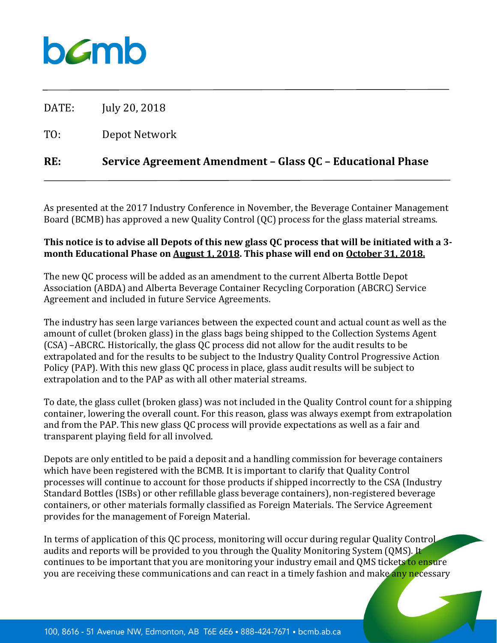## bamb

DATE: July 20, 2018

TO: Depot Network

### **RE: Service Agreement Amendment – Glass QC – Educational Phase**

As presented at the 2017 Industry Conference in November, the Beverage Container Management Board (BCMB) has approved a new Quality Control (QC) process for the glass material streams.

#### **This notice is to advise all Depots of this new glass QC process that will be initiated with a 3 month Educational Phase on August 1, 2018. This phase will end on October 31, 2018.**

The new QC process will be added as an amendment to the current Alberta Bottle Depot Association (ABDA) and Alberta Beverage Container Recycling Corporation (ABCRC) Service Agreement and included in future Service Agreements.

The industry has seen large variances between the expected count and actual count as well as the amount of cullet (broken glass) in the glass bags being shipped to the Collection Systems Agent (CSA) –ABCRC. Historically, the glass QC process did not allow for the audit results to be extrapolated and for the results to be subject to the Industry Quality Control Progressive Action Policy (PAP). With this new glass QC process in place, glass audit results will be subject to extrapolation and to the PAP as with all other material streams.

To date, the glass cullet (broken glass) was not included in the Quality Control count for a shipping container, lowering the overall count. For this reason, glass was always exempt from extrapolation and from the PAP. This new glass QC process will provide expectations as well as a fair and transparent playing field for all involved.

Depots are only entitled to be paid a deposit and a handling commission for beverage containers which have been registered with the BCMB. It is important to clarify that Quality Control processes will continue to account for those products if shipped incorrectly to the CSA (Industry Standard Bottles (ISBs) or other refillable glass beverage containers), non-registered beverage containers, or other materials formally classified as Foreign Materials. The Service Agreement provides for the management of Foreign Material.

In terms of application of this QC process, monitoring will occur during regular Quality Control audits and reports will be provided to you through the Quality Monitoring System (QMS). It continues to be important that you are monitoring your industry email and QMS tickets to ensure you are receiving these communications and can react in a timely fashion and make any necessary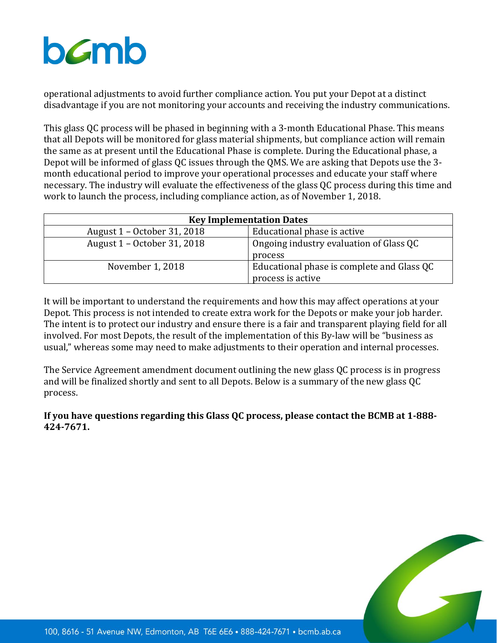# bamb

operational adjustments to avoid further compliance action. You put your Depot at a distinct disadvantage if you are not monitoring your accounts and receiving the industry communications.

This glass QC process will be phased in beginning with a 3-month Educational Phase. This means that all Depots will be monitored for glass material shipments, but compliance action will remain the same as at present until the Educational Phase is complete. During the Educational phase, a Depot will be informed of glass QC issues through the QMS. We are asking that Depots use the 3 month educational period to improve your operational processes and educate your staff where necessary. The industry will evaluate the effectiveness of the glass QC process during this time and work to launch the process, including compliance action, as of November 1, 2018.

| <b>Key Implementation Dates</b> |                                                                 |  |
|---------------------------------|-----------------------------------------------------------------|--|
| August 1 – October 31, 2018     | Educational phase is active                                     |  |
| August 1 – October 31, 2018     | Ongoing industry evaluation of Glass QC<br>process              |  |
| November 1, 2018                | Educational phase is complete and Glass QC<br>process is active |  |

It will be important to understand the requirements and how this may affect operations at your Depot. This process is not intended to create extra work for the Depots or make your job harder. The intent is to protect our industry and ensure there is a fair and transparent playing field for all involved. For most Depots, the result of the implementation of this By-law will be "business as usual," whereas some may need to make adjustments to their operation and internal processes.

The Service Agreement amendment document outlining the new glass QC process is in progress and will be finalized shortly and sent to all Depots. Below is a summary of the new glass QC process.

**If you have questions regarding this Glass QC process, please contact the BCMB at 1-888- 424-7671.** 

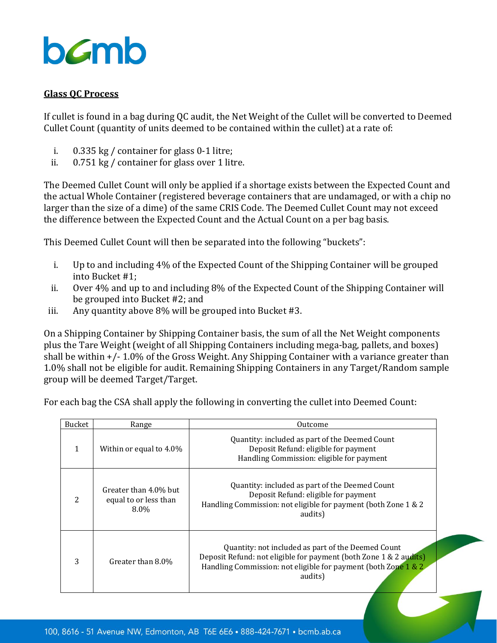

#### **Glass QC Process**

If cullet is found in a bag during QC audit, the Net Weight of the Cullet will be converted to Deemed Cullet Count (quantity of units deemed to be contained within the cullet) at a rate of:

- i. 0.335 kg / container for glass 0-1 litre;
- ii. 0.751 kg / container for glass over 1 litre.

The Deemed Cullet Count will only be applied if a shortage exists between the Expected Count and the actual Whole Container (registered beverage containers that are undamaged, or with a chip no larger than the size of a dime) of the same CRIS Code. The Deemed Cullet Count may not exceed the difference between the Expected Count and the Actual Count on a per bag basis.

This Deemed Cullet Count will then be separated into the following "buckets":

- i. Up to and including 4% of the Expected Count of the Shipping Container will be grouped into Bucket #1;
- ii. Over 4% and up to and including 8% of the Expected Count of the Shipping Container will be grouped into Bucket #2; and
- iii. Any quantity above 8% will be grouped into Bucket #3.

On a Shipping Container by Shipping Container basis, the sum of all the Net Weight components plus the Tare Weight (weight of all Shipping Containers including mega-bag, pallets, and boxes) shall be within +/- 1.0% of the Gross Weight. Any Shipping Container with a variance greater than 1.0% shall not be eligible for audit. Remaining Shipping Containers in any Target/Random sample group will be deemed Target/Target.

For each bag the CSA shall apply the following in converting the cullet into Deemed Count:

| <b>Bucket</b>            | Range                                                     | Outcome                                                                                                                                                                                              |
|--------------------------|-----------------------------------------------------------|------------------------------------------------------------------------------------------------------------------------------------------------------------------------------------------------------|
| 1                        | Within or equal to 4.0%                                   | Quantity: included as part of the Deemed Count<br>Deposit Refund: eligible for payment<br>Handling Commission: eligible for payment                                                                  |
| $\overline{\mathcal{L}}$ | Greater than 4.0% but<br>equal to or less than<br>$8.0\%$ | Quantity: included as part of the Deemed Count<br>Deposit Refund: eligible for payment<br>Handling Commission: not eligible for payment (both Zone 1 & 2<br>audits)                                  |
| 3                        | Greater than 8.0%                                         | Quantity: not included as part of the Deemed Count<br>Deposit Refund: not eligible for payment (both Zone 1 & 2 audits)<br>Handling Commission: not eligible for payment (both Zone 1 & 2<br>audits) |